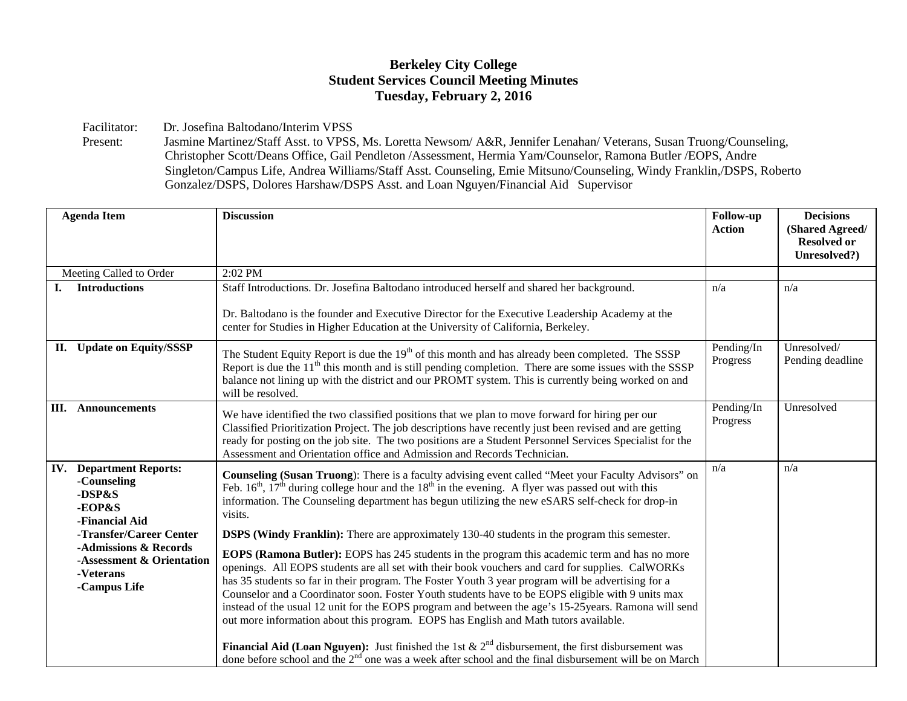## **Berkeley City College Student Services Council Meeting Minutes Tuesday, February 2, 2016**

Facilitator: Dr. Josefina Baltodano/Interim VPSS<br>Present: Jasmine Martinez/Staff Asst. to VPSS

Jasmine Martinez/Staff Asst. to VPSS, Ms. Loretta Newsom/ A&R, Jennifer Lenahan/ Veterans, Susan Truong/Counseling, Christopher Scott/Deans Office, Gail Pendleton /Assessment, Hermia Yam/Counselor, Ramona Butler /EOPS, Andre Singleton/Campus Life, Andrea Williams/Staff Asst. Counseling, Emie Mitsuno/Counseling, Windy Franklin,/DSPS, Roberto Gonzalez/DSPS, Dolores Harshaw/DSPS Asst. and Loan Nguyen/Financial Aid Supervisor

| <b>Agenda Item</b>                                                                                                                                                                                | <b>Discussion</b>                                                                                                                                                                                                                                                                                                                                                                                                                                                                                                                                                                                                                                                                                                                                                                                                                                                                                                                                                                                                                                            | <b>Follow-up</b><br><b>Action</b> | <b>Decisions</b><br>(Shared Agreed/ |
|---------------------------------------------------------------------------------------------------------------------------------------------------------------------------------------------------|--------------------------------------------------------------------------------------------------------------------------------------------------------------------------------------------------------------------------------------------------------------------------------------------------------------------------------------------------------------------------------------------------------------------------------------------------------------------------------------------------------------------------------------------------------------------------------------------------------------------------------------------------------------------------------------------------------------------------------------------------------------------------------------------------------------------------------------------------------------------------------------------------------------------------------------------------------------------------------------------------------------------------------------------------------------|-----------------------------------|-------------------------------------|
|                                                                                                                                                                                                   |                                                                                                                                                                                                                                                                                                                                                                                                                                                                                                                                                                                                                                                                                                                                                                                                                                                                                                                                                                                                                                                              |                                   | <b>Resolved or</b><br>Unresolved?)  |
| Meeting Called to Order                                                                                                                                                                           | 2:02 PM                                                                                                                                                                                                                                                                                                                                                                                                                                                                                                                                                                                                                                                                                                                                                                                                                                                                                                                                                                                                                                                      |                                   |                                     |
| <b>Introductions</b>                                                                                                                                                                              | Staff Introductions. Dr. Josefina Baltodano introduced herself and shared her background.                                                                                                                                                                                                                                                                                                                                                                                                                                                                                                                                                                                                                                                                                                                                                                                                                                                                                                                                                                    | n/a                               | n/a                                 |
|                                                                                                                                                                                                   | Dr. Baltodano is the founder and Executive Director for the Executive Leadership Academy at the<br>center for Studies in Higher Education at the University of California, Berkeley.                                                                                                                                                                                                                                                                                                                                                                                                                                                                                                                                                                                                                                                                                                                                                                                                                                                                         |                                   |                                     |
| II. Update on Equity/SSSP                                                                                                                                                                         | The Student Equity Report is due the 19 <sup>th</sup> of this month and has already been completed. The SSSP<br>Report is due the $11th$ this month and is still pending completion. There are some issues with the SSSP<br>balance not lining up with the district and our PROMT system. This is currently being worked on and<br>will be resolved.                                                                                                                                                                                                                                                                                                                                                                                                                                                                                                                                                                                                                                                                                                         | Pending/In<br>Progress            | Unresolved/<br>Pending deadline     |
| <b>Announcements</b><br>III.                                                                                                                                                                      | We have identified the two classified positions that we plan to move forward for hiring per our<br>Classified Prioritization Project. The job descriptions have recently just been revised and are getting<br>ready for posting on the job site. The two positions are a Student Personnel Services Specialist for the<br>Assessment and Orientation office and Admission and Records Technician.                                                                                                                                                                                                                                                                                                                                                                                                                                                                                                                                                                                                                                                            | Pending/In<br>Progress            | Unresolved                          |
| <b>IV.</b> Department Reports:<br>-Counseling<br>-DSP&S<br>-EOP&S<br>-Financial Aid<br>-Transfer/Career Center<br>-Admissions & Records<br>-Assessment & Orientation<br>-Veterans<br>-Campus Life | Counseling (Susan Truong): There is a faculty advising event called "Meet your Faculty Advisors" on<br>Feb. $16th$ , $17th$ during college hour and the $18th$ in the evening. A flyer was passed out with this<br>information. The Counseling department has begun utilizing the new eSARS self-check for drop-in<br>visits.<br><b>DSPS (Windy Franklin):</b> There are approximately 130-40 students in the program this semester.<br><b>EOPS (Ramona Butler):</b> EOPS has 245 students in the program this academic term and has no more<br>openings. All EOPS students are all set with their book vouchers and card for supplies. CalWORKs<br>has 35 students so far in their program. The Foster Youth 3 year program will be advertising for a<br>Counselor and a Coordinator soon. Foster Youth students have to be EOPS eligible with 9 units max<br>instead of the usual 12 unit for the EOPS program and between the age's 15-25 years. Ramona will send<br>out more information about this program. EOPS has English and Math tutors available. | n/a                               | n/a                                 |
|                                                                                                                                                                                                   | <b>Financial Aid (Loan Nguyen):</b> Just finished the 1st $\& 2^{nd}$ disbursement, the first disbursement was<br>done before school and the 2 <sup>nd</sup> one was a week after school and the final disbursement will be on March                                                                                                                                                                                                                                                                                                                                                                                                                                                                                                                                                                                                                                                                                                                                                                                                                         |                                   |                                     |